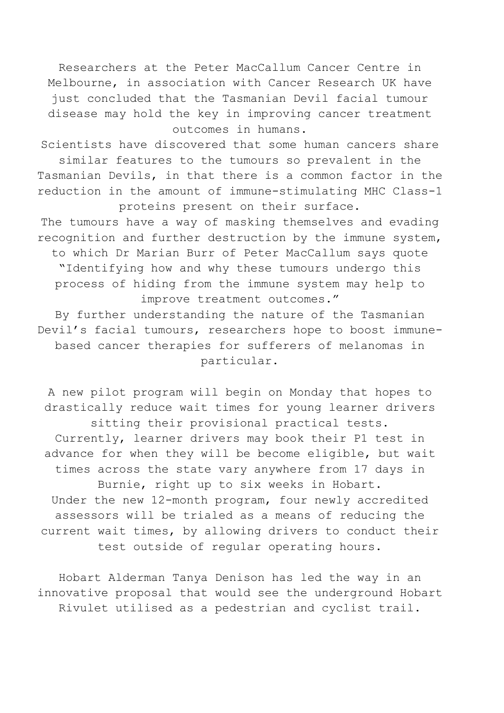Researchers at the Peter MacCallum Cancer Centre in Melbourne, in association with Cancer Research UK have just concluded that the Tasmanian Devil facial tumour disease may hold the key in improving cancer treatment outcomes in humans.

Scientists have discovered that some human cancers share similar features to the tumours so prevalent in the Tasmanian Devils, in that there is a common factor in the reduction in the amount of immune-stimulating MHC Class-1 proteins present on their surface.

The tumours have a way of masking themselves and evading recognition and further destruction by the immune system, to which Dr Marian Burr of Peter MacCallum says quote "Identifying how and why these tumours undergo this process of hiding from the immune system may help to improve treatment outcomes."

By further understanding the nature of the Tasmanian Devil's facial tumours, researchers hope to boost immunebased cancer therapies for sufferers of melanomas in particular.

A new pilot program will begin on Monday that hopes to drastically reduce wait times for young learner drivers sitting their provisional practical tests. Currently, learner drivers may book their P1 test in advance for when they will be become eligible, but wait times across the state vary anywhere from 17 days in Burnie, right up to six weeks in Hobart. Under the new 12-month program, four newly accredited assessors will be trialed as a means of reducing the current wait times, by allowing drivers to conduct their test outside of regular operating hours.

Hobart Alderman Tanya Denison has led the way in an innovative proposal that would see the underground Hobart Rivulet utilised as a pedestrian and cyclist trail.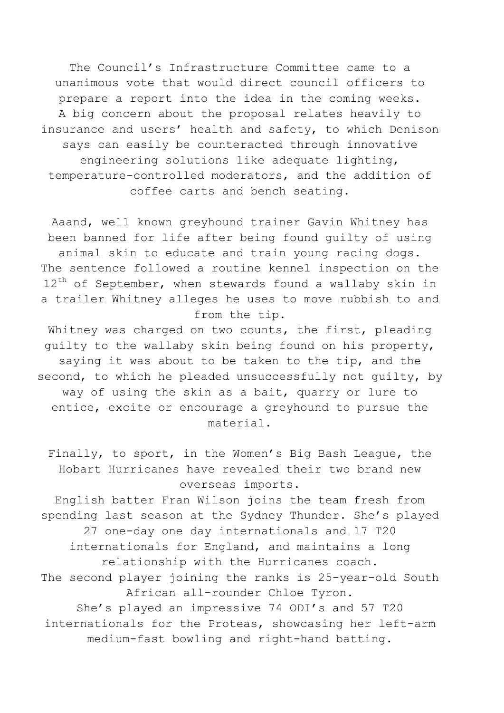The Council's Infrastructure Committee came to a unanimous vote that would direct council officers to prepare a report into the idea in the coming weeks. A big concern about the proposal relates heavily to insurance and users' health and safety, to which Denison says can easily be counteracted through innovative engineering solutions like adequate lighting, temperature-controlled moderators, and the addition of coffee carts and bench seating.

Aaand, well known greyhound trainer Gavin Whitney has been banned for life after being found guilty of using animal skin to educate and train young racing dogs. The sentence followed a routine kennel inspection on the  $12^{th}$  of September, when stewards found a wallaby skin in a trailer Whitney alleges he uses to move rubbish to and from the tip.

Whitney was charged on two counts, the first, pleading guilty to the wallaby skin being found on his property, saying it was about to be taken to the tip, and the second, to which he pleaded unsuccessfully not guilty, by way of using the skin as a bait, quarry or lure to entice, excite or encourage a greyhound to pursue the material.

Finally, to sport, in the Women's Big Bash League, the Hobart Hurricanes have revealed their two brand new overseas imports.

English batter Fran Wilson joins the team fresh from spending last season at the Sydney Thunder. She's played 27 one-day one day internationals and 17 T20 internationals for England, and maintains a long relationship with the Hurricanes coach. The second player joining the ranks is 25-year-old South African all-rounder Chloe Tyron. She's played an impressive 74 ODI's and 57 T20 internationals for the Proteas, showcasing her left-arm medium-fast bowling and right-hand batting.